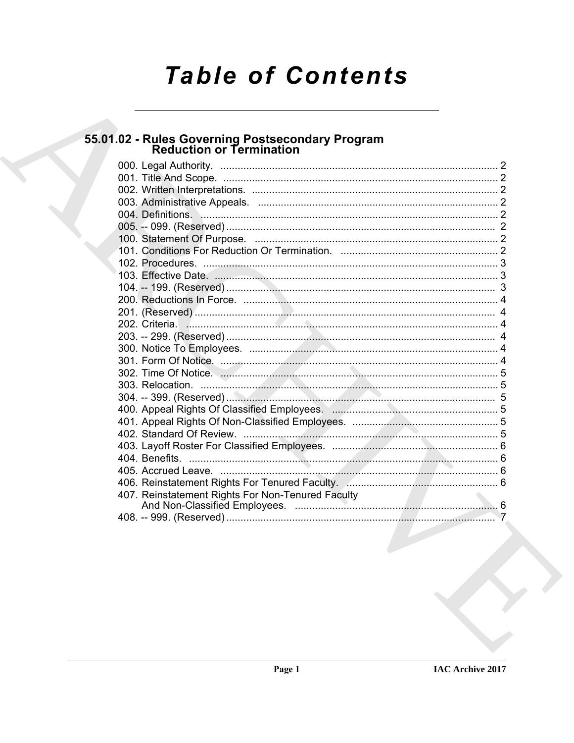# **Table of Contents**

# 55.01.02 - Rules Governing Postsecondary Program<br>Reduction or Termination

| 407. Reinstatement Rights For Non-Tenured Faculty |  |
|---------------------------------------------------|--|
|                                                   |  |
|                                                   |  |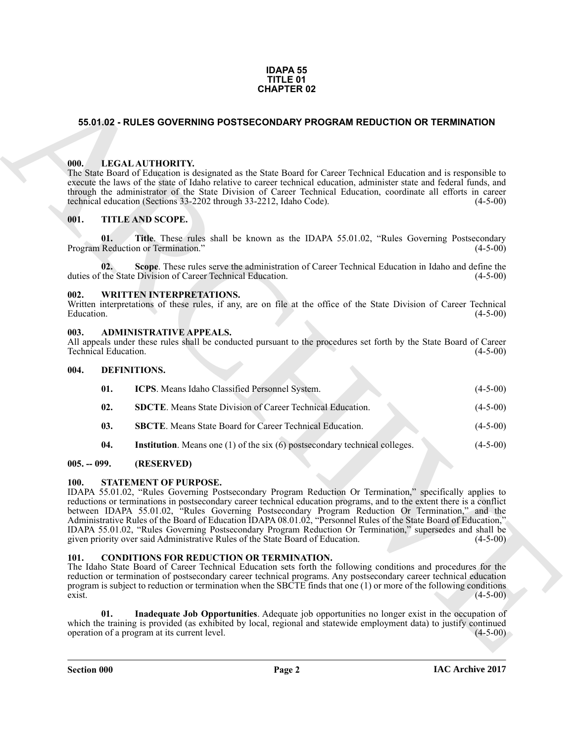#### **IDAPA 55 TITLE 01 CHAPTER 02**

#### <span id="page-1-0"></span>**55.01.02 - RULES GOVERNING POSTSECONDARY PROGRAM REDUCTION OR TERMINATION**

#### <span id="page-1-1"></span>**000. LEGAL AUTHORITY.**

#### <span id="page-1-2"></span>**001. TITLE AND SCOPE.**

#### <span id="page-1-3"></span>**002. WRITTEN INTERPRETATIONS.**

#### <span id="page-1-4"></span>**003. ADMINISTRATIVE APPEALS.**

#### <span id="page-1-15"></span><span id="page-1-12"></span><span id="page-1-11"></span><span id="page-1-5"></span>**004. DEFINITIONS.**

|                |                                                                                                                                                                                                                            | <b>CHAPTER 02</b>                                                                                                                                                                                                                                                                                                                                                                                                                                                                                                                                                                                                                                                                     |            |  |  |
|----------------|----------------------------------------------------------------------------------------------------------------------------------------------------------------------------------------------------------------------------|---------------------------------------------------------------------------------------------------------------------------------------------------------------------------------------------------------------------------------------------------------------------------------------------------------------------------------------------------------------------------------------------------------------------------------------------------------------------------------------------------------------------------------------------------------------------------------------------------------------------------------------------------------------------------------------|------------|--|--|
|                |                                                                                                                                                                                                                            | 55.01.02 - RULES GOVERNING POSTSECONDARY PROGRAM REDUCTION OR TERMINATION                                                                                                                                                                                                                                                                                                                                                                                                                                                                                                                                                                                                             |            |  |  |
| 000.           |                                                                                                                                                                                                                            | LEGAL AUTHORITY.<br>The State Board of Education is designated as the State Board for Career Technical Education and is responsible to<br>execute the laws of the state of Idaho relative to career technical education, administer state and federal funds, and<br>through the administrator of the State Division of Career Technical Education, coordinate all efforts in career<br>technical education (Sections 33-2202 through 33-2212, Idaho Code).                                                                                                                                                                                                                            | $(4-5-00)$ |  |  |
| 001.           |                                                                                                                                                                                                                            | TITLE AND SCOPE.                                                                                                                                                                                                                                                                                                                                                                                                                                                                                                                                                                                                                                                                      |            |  |  |
|                | 01.                                                                                                                                                                                                                        | Title. These rules shall be known as the IDAPA 55.01.02, "Rules Governing Postsecondary<br>Program Reduction or Termination."                                                                                                                                                                                                                                                                                                                                                                                                                                                                                                                                                         | $(4-5-00)$ |  |  |
|                | 02.                                                                                                                                                                                                                        | Scope. These rules serve the administration of Career Technical Education in Idaho and define the<br>duties of the State Division of Career Technical Education.                                                                                                                                                                                                                                                                                                                                                                                                                                                                                                                      | $(4-5-00)$ |  |  |
| 002.           | Education.                                                                                                                                                                                                                 | <b>WRITTEN INTERPRETATIONS.</b><br>Written interpretations of these rules, if any, are on file at the office of the State Division of Career Technical                                                                                                                                                                                                                                                                                                                                                                                                                                                                                                                                | $(4-5-00)$ |  |  |
|                | 003.<br><b>ADMINISTRATIVE APPEALS.</b><br>All appeals under these rules shall be conducted pursuant to the procedures set forth by the State Board of Career<br>Technical Education.<br>$(4-5-00)$<br>004.<br>DEFINITIONS. |                                                                                                                                                                                                                                                                                                                                                                                                                                                                                                                                                                                                                                                                                       |            |  |  |
|                |                                                                                                                                                                                                                            |                                                                                                                                                                                                                                                                                                                                                                                                                                                                                                                                                                                                                                                                                       |            |  |  |
|                | 01.                                                                                                                                                                                                                        | ICPS. Means Idaho Classified Personnel System.                                                                                                                                                                                                                                                                                                                                                                                                                                                                                                                                                                                                                                        | $(4-5-00)$ |  |  |
|                | 02.                                                                                                                                                                                                                        | <b>SDCTE</b> . Means State Division of Career Technical Education.                                                                                                                                                                                                                                                                                                                                                                                                                                                                                                                                                                                                                    | $(4-5-00)$ |  |  |
|                | 03.                                                                                                                                                                                                                        | <b>SBCTE</b> . Means State Board for Career Technical Education.                                                                                                                                                                                                                                                                                                                                                                                                                                                                                                                                                                                                                      | $(4-5-00)$ |  |  |
|                | 04.                                                                                                                                                                                                                        | <b>Institution</b> . Means one $(1)$ of the six $(6)$ postsecondary technical colleges.                                                                                                                                                                                                                                                                                                                                                                                                                                                                                                                                                                                               | $(4-5-00)$ |  |  |
|                | $005. - 099.$                                                                                                                                                                                                              | (RESERVED)                                                                                                                                                                                                                                                                                                                                                                                                                                                                                                                                                                                                                                                                            |            |  |  |
| <b>100.</b>    |                                                                                                                                                                                                                            | STATEMENT OF PURPOSE.<br>IDAPA 55.01.02, "Rules Governing Postsecondary Program Reduction Or Termination," specifically applies to<br>reductions or terminations in postsecondary career technical education programs, and to the extent there is a conflict<br>between IDAPA 55.01.02, "Rules Governing Postsecondary Program Reduction Or Termination," and the<br>Administrative Rules of the Board of Education IDAPA 08.01.02, "Personnel Rules of the State Board of Education,"<br>IDAPA 55.01.02, "Rules Governing Postsecondary Program Reduction Or Termination," supersedes and shall be<br>given priority over said Administrative Rules of the State Board of Education. | $(4-5-00)$ |  |  |
| 101.<br>exist. |                                                                                                                                                                                                                            | <b>CONDITIONS FOR REDUCTION OR TERMINATION.</b><br>The Idaho State Board of Career Technical Education sets forth the following conditions and procedures for the<br>reduction or termination of postsecondary career technical programs. Any postsecondary career technical education<br>program is subject to reduction or termination when the SBCTE finds that one $(1)$ or more of the following conditions                                                                                                                                                                                                                                                                      | $(4-5-00)$ |  |  |
|                | 01.                                                                                                                                                                                                                        | Inadequate Job Opportunities. Adequate job opportunities no longer exist in the occupation of<br>which the training is provided (as exhibited by local, regional and statewide employment data) to justify continued<br>operation of a program at its current level.                                                                                                                                                                                                                                                                                                                                                                                                                  | $(4-5-00)$ |  |  |

#### <span id="page-1-14"></span><span id="page-1-13"></span><span id="page-1-6"></span>**005. -- 099. (RESERVED)**

#### <span id="page-1-7"></span>**100. STATEMENT OF PURPOSE.**

#### <span id="page-1-10"></span><span id="page-1-9"></span><span id="page-1-8"></span>**101. CONDITIONS FOR REDUCTION OR TERMINATION.**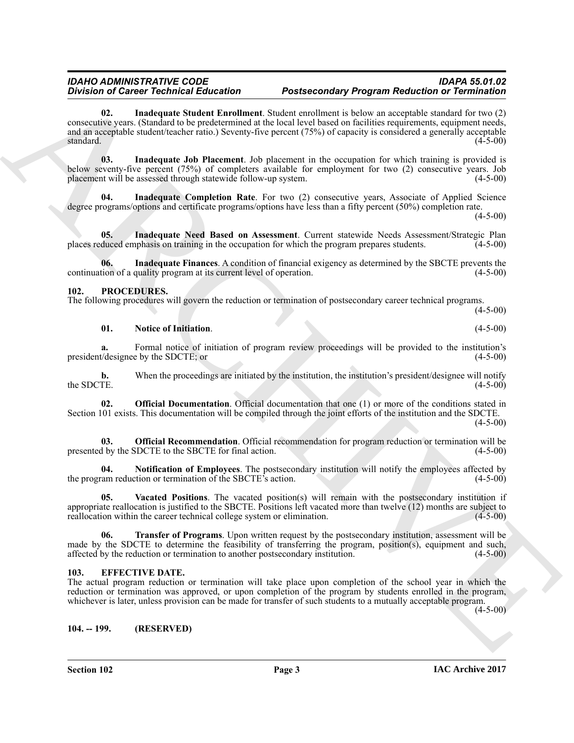#### <span id="page-2-7"></span>*IDAHO ADMINISTRATIVE CODE IDAPA 55.01.02 Division of Career Technical Education Postsecondary Program Reduction or Termination*

Division of Coincide Reference of the states contained the state in the properties of the state in the state of the state of the state of the state of the state of the state of the state of the state of the state of the s **02. Inadequate Student Enrollment**. Student enrollment is below an acceptable standard for two (2) consecutive years. (Standard to be predetermined at the local level based on facilities requirements, equipment needs, and an acceptable student/teacher ratio.) Seventy-five percent (75%) of capacity is considered a generally acceptable standard.  $(4-5-00)$ 

<span id="page-2-5"></span>**03. Inadequate Job Placement**. Job placement in the occupation for which training is provided is below seventy-five percent (75%) of completers available for employment for two (2) consecutive years. Job placement will be assessed through statewide follow-up system. (4-5-00)

<span id="page-2-3"></span>**Inadequate Completion Rate**. For two (2) consecutive years, Associate of Applied Science degree programs/options and certificate programs/options have less than a fifty percent (50%) completion rate.

 $(4-5-00)$ 

<span id="page-2-6"></span>**05. Inadequate Need Based on Assessment**. Current statewide Needs Assessment/Strategic Plan places reduced emphasis on training in the occupation for which the program prepares students. (4-5-00)

<span id="page-2-4"></span>**06.** Inadequate Finances. A condition of financial exigency as determined by the SBCTE prevents the tion of a quality program at its current level of operation. (4-5-00) continuation of a quality program at its current level of operation.

#### <span id="page-2-9"></span><span id="page-2-0"></span>**102. PROCEDURES.**

The following procedures will govern the reduction or termination of postsecondary career technical programs.  $(4-5-00)$ 

<span id="page-2-10"></span>**01.** Notice of Initiation. (4-5-00)

**a.** Formal notice of initiation of program review proceedings will be provided to the institution's t/designee by the SDCTE; or president/designee by the SDCTE; or

**b.** When the proceedings are initiated by the institution, the institution's president/designee will notify TE.  $(4-5-00)$ the SDCTE.

<span id="page-2-12"></span>**02. Official Documentation**. Official documentation that one (1) or more of the conditions stated in Section 101 exists. This documentation will be compiled through the joint efforts of the institution and the SDCTE.

 $(4-5-00)$ 

<span id="page-2-13"></span>**03. Official Recommendation**. Official recommendation for program reduction or termination will be the SDCTE to the SBCTE for final action. (4-5-00) presented by the SDCTE to the SBCTE for final action.

<span id="page-2-11"></span>**Notification of Employees**. The postsecondary institution will notify the employees affected by tion or termination of the SBCTE's action. (4-5-00) the program reduction or termination of the SBCTE's action.

<span id="page-2-15"></span>**05. Vacated Positions**. The vacated position(s) will remain with the postsecondary institution if appropriate reallocation is justified to the SBCTE. Positions left vacated more than twelve (12) months are subject to reallocation within the career technical college system or elimination. (4-5-00) reallocation within the career technical college system or elimination.

<span id="page-2-14"></span>**06. Transfer of Programs**. Upon written request by the postsecondary institution, assessment will be made by the SDCTE to determine the feasibility of transferring the program, position(s), equipment and such, affected by the reduction or termination to another postsecondary institution. (4-5-00)

#### <span id="page-2-8"></span><span id="page-2-1"></span>**103. EFFECTIVE DATE.**

The actual program reduction or termination will take place upon completion of the school year in which the reduction or termination was approved, or upon completion of the program by students enrolled in the program, whichever is later, unless provision can be made for transfer of such students to a mutually acceptable program.

 $(4-5-00)$ 

<span id="page-2-2"></span>**104. -- 199. (RESERVED)**

**Section 102 Page 3**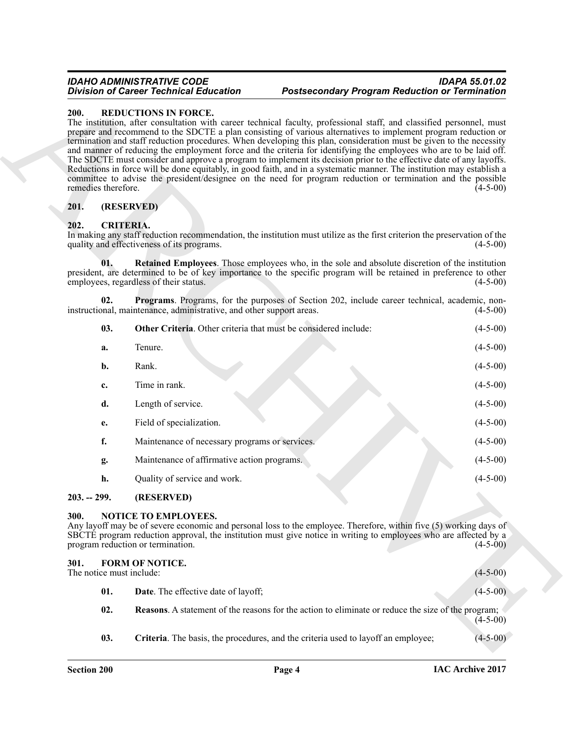#### *IDAHO ADMINISTRATIVE CODE IDAPA 55.01.02 Division of Career Technical Education Postsecondary Program Reduction or Termination*

#### <span id="page-3-15"></span><span id="page-3-0"></span>**200. REDUCTIONS IN FORCE.**

#### <span id="page-3-1"></span>**201. (RESERVED)**

#### <span id="page-3-9"></span><span id="page-3-8"></span><span id="page-3-7"></span><span id="page-3-6"></span><span id="page-3-2"></span>**202. CRITERIA.**

|             |                          | <b>Division of Career Technical Education</b>                                     | <b>Postsecondary Program Reduction or Termination</b>                                                                                                                                                                                                                                                                                                                                                                                                                                                                                                                                                                                                                                                                                                                                                                                                 |            |
|-------------|--------------------------|-----------------------------------------------------------------------------------|-------------------------------------------------------------------------------------------------------------------------------------------------------------------------------------------------------------------------------------------------------------------------------------------------------------------------------------------------------------------------------------------------------------------------------------------------------------------------------------------------------------------------------------------------------------------------------------------------------------------------------------------------------------------------------------------------------------------------------------------------------------------------------------------------------------------------------------------------------|------------|
| <b>200.</b> | remedies therefore.      | <b>REDUCTIONS IN FORCE.</b>                                                       | The institution, after consultation with career technical faculty, professional staff, and classified personnel, must<br>prepare and recommend to the SDCTE a plan consisting of various alternatives to implement program reduction or<br>termination and staff reduction procedures. When developing this plan, consideration must be given to the necessity<br>and manner of reducing the employment force and the criteria for identifying the employees who are to be laid off.<br>The SDCTE must consider and approve a program to implement its decision prior to the effective date of any layoffs.<br>Reductions in force will be done equitably, in good faith, and in a systematic manner. The institution may establish a<br>committee to advise the president/designee on the need for program reduction or termination and the possible | $(4-5-00)$ |
| 201.        |                          | (RESERVED)                                                                        |                                                                                                                                                                                                                                                                                                                                                                                                                                                                                                                                                                                                                                                                                                                                                                                                                                                       |            |
| 202.        | <b>CRITERIA.</b>         | quality and effectiveness of its programs.                                        | In making any staff reduction recommendation, the institution must utilize as the first criterion the preservation of the                                                                                                                                                                                                                                                                                                                                                                                                                                                                                                                                                                                                                                                                                                                             | $(4-5-00)$ |
|             | 01.                      | employees, regardless of their status.                                            | <b>Retained Employees.</b> Those employees who, in the sole and absolute discretion of the institution<br>president, are determined to be of key importance to the specific program will be retained in preference to other                                                                                                                                                                                                                                                                                                                                                                                                                                                                                                                                                                                                                           | $(4-5-00)$ |
|             | 02.                      | instructional, maintenance, administrative, and other support areas.              | Programs. Programs, for the purposes of Section 202, include career technical, academic, non-                                                                                                                                                                                                                                                                                                                                                                                                                                                                                                                                                                                                                                                                                                                                                         | $(4-5-00)$ |
|             | 03.                      | Other Criteria. Other criteria that must be considered include:                   |                                                                                                                                                                                                                                                                                                                                                                                                                                                                                                                                                                                                                                                                                                                                                                                                                                                       | $(4-5-00)$ |
|             | a.                       | Tenure.                                                                           |                                                                                                                                                                                                                                                                                                                                                                                                                                                                                                                                                                                                                                                                                                                                                                                                                                                       | $(4-5-00)$ |
|             | b.                       | Rank.                                                                             |                                                                                                                                                                                                                                                                                                                                                                                                                                                                                                                                                                                                                                                                                                                                                                                                                                                       | $(4-5-00)$ |
|             | c.                       | Time in rank.                                                                     |                                                                                                                                                                                                                                                                                                                                                                                                                                                                                                                                                                                                                                                                                                                                                                                                                                                       | $(4-5-00)$ |
|             | d.                       | Length of service.                                                                |                                                                                                                                                                                                                                                                                                                                                                                                                                                                                                                                                                                                                                                                                                                                                                                                                                                       | $(4-5-00)$ |
|             | е.                       | Field of specialization.                                                          |                                                                                                                                                                                                                                                                                                                                                                                                                                                                                                                                                                                                                                                                                                                                                                                                                                                       | $(4-5-00)$ |
|             | f.                       | Maintenance of necessary programs or services.                                    |                                                                                                                                                                                                                                                                                                                                                                                                                                                                                                                                                                                                                                                                                                                                                                                                                                                       | $(4-5-00)$ |
|             | g.                       | Maintenance of affirmative action programs.                                       |                                                                                                                                                                                                                                                                                                                                                                                                                                                                                                                                                                                                                                                                                                                                                                                                                                                       | $(4-5-00)$ |
|             | h.                       | Quality of service and work.                                                      |                                                                                                                                                                                                                                                                                                                                                                                                                                                                                                                                                                                                                                                                                                                                                                                                                                                       | $(4-5-00)$ |
|             | $203. - 299.$            | (RESERVED)                                                                        |                                                                                                                                                                                                                                                                                                                                                                                                                                                                                                                                                                                                                                                                                                                                                                                                                                                       |            |
| 300.        |                          | NOTICE TO EMPLOYEES.<br>program reduction or termination.                         | Any layoff may be of severe economic and personal loss to the employee. Therefore, within five (5) working days of<br>SBCTE program reduction approval, the institution must give notice in writing to employees who are affected by a                                                                                                                                                                                                                                                                                                                                                                                                                                                                                                                                                                                                                | $(4-5-00)$ |
| 301.        | The notice must include: | FORM OF NOTICE.                                                                   |                                                                                                                                                                                                                                                                                                                                                                                                                                                                                                                                                                                                                                                                                                                                                                                                                                                       | $(4-5-00)$ |
|             | 01.                      | <b>Date</b> . The effective date of layoff;                                       |                                                                                                                                                                                                                                                                                                                                                                                                                                                                                                                                                                                                                                                                                                                                                                                                                                                       | $(4-5-00)$ |
|             | 02.                      |                                                                                   | <b>Reasons.</b> A statement of the reasons for the action to eliminate or reduce the size of the program;                                                                                                                                                                                                                                                                                                                                                                                                                                                                                                                                                                                                                                                                                                                                             | $(4-5-00)$ |
|             | 03.                      | Criteria. The basis, the procedures, and the criteria used to layoff an employee; |                                                                                                                                                                                                                                                                                                                                                                                                                                                                                                                                                                                                                                                                                                                                                                                                                                                       | $(4-5-00)$ |

#### <span id="page-3-3"></span>**203. -- 299. (RESERVED)**

#### <span id="page-3-14"></span><span id="page-3-4"></span>**300. NOTICE TO EMPLOYEES.**

## <span id="page-3-13"></span><span id="page-3-12"></span><span id="page-3-11"></span><span id="page-3-10"></span><span id="page-3-5"></span>**301. FORM OF NOTICE.** The notice must include: (4-5-00) **01. Date**. The effective date of layoff; (4-5-00) **02. Reasons**. A statement of the reasons for the action to eliminate or reduce the size of the program;  $(4-5-00)$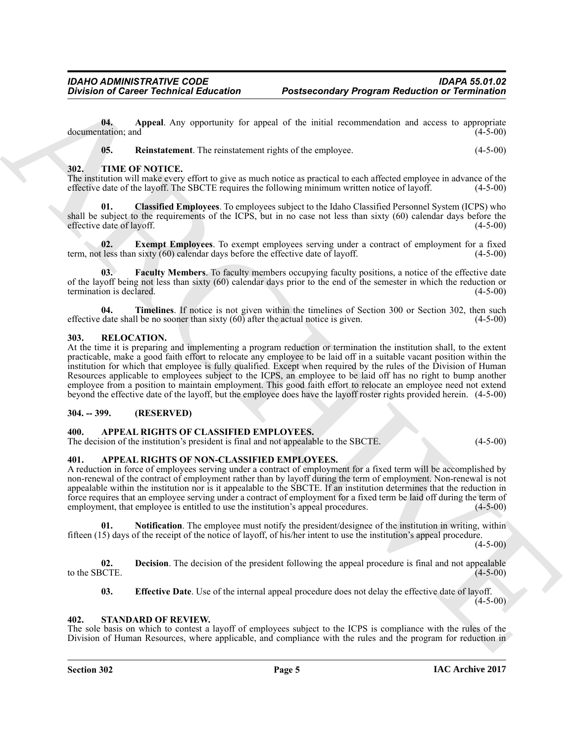**04.** Appeal. Any opportunity for appeal of the initial recommendation and access to appropriate tation; and (4-5-00) documentation; and

<span id="page-4-16"></span><span id="page-4-15"></span><span id="page-4-12"></span><span id="page-4-11"></span>**05.** Reinstatement. The reinstatement rights of the employee. (4-5-00)

#### <span id="page-4-0"></span>**302. TIME OF NOTICE.**

The institution will make every effort to give as much notice as practical to each affected employee in advance of the effective date of the layoff. The SBCTE requires the following minimum written notice of layoff. (4-5-0 effective date of the layoff. The SBCTE requires the following minimum written notice of layoff.

**01. Classified Employees**. To employees subject to the Idaho Classified Personnel System (ICPS) who shall be subject to the requirements of the ICPS, but in no case not less than sixty (60) calendar days before the effective date of lavoff. (4-5-00) effective date of layoff.

<span id="page-4-17"></span>**02.** Exempt Employees. To exempt employees serving under a contract of employment for a fixed less than sixty (60) calendar days before the effective date of layoff. (4-5-00) term, not less than sixty  $(60)$  calendar days before the effective date of layoff.

<span id="page-4-18"></span>Faculty Members. To faculty members occupying faculty positions, a notice of the effective date of the layoff being not less than sixty (60) calendar days prior to the end of the semester in which the reduction or termination is declared. (4-5-00) termination is declared.

<span id="page-4-19"></span>**04. Timelines**. If notice is not given within the timelines of Section 300 or Section 302, then such date shall be no sooner than sixty (60) after the actual notice is given. (4-5-00) effective date shall be no sooner than sixty  $(60)$  after the actual notice is given.

#### <span id="page-4-13"></span><span id="page-4-1"></span>**303. RELOCATION.**

Division of Caricer Technical Education<br>
Units and the speed Any upper later speed with the speed of the situation and seven as a speed of the state of the state of the state of the state of the state of the state of the At the time it is preparing and implementing a program reduction or termination the institution shall, to the extent practicable, make a good faith effort to relocate any employee to be laid off in a suitable vacant position within the institution for which that employee is fully qualified. Except when required by the rules of the Division of Human Resources applicable to employees subject to the ICPS, an employee to be laid off has no right to bump another employee from a position to maintain employment. This good faith effort to relocate an employee need not extend beyond the effective date of the layoff, but the employee does have the layoff roster rights provided herein. (4-5-00)

#### <span id="page-4-2"></span>**304. -- 399. (RESERVED)**

#### <span id="page-4-6"></span><span id="page-4-3"></span>**400. APPEAL RIGHTS OF CLASSIFIED EMPLOYEES.**

<span id="page-4-7"></span>The decision of the institution's president is final and not appealable to the SBCTE. (4-5-00)

#### <span id="page-4-4"></span>**401. APPEAL RIGHTS OF NON-CLASSIFIED EMPLOYEES.**

A reduction in force of employees serving under a contract of employment for a fixed term will be accomplished by non-renewal of the contract of employment rather than by layoff during the term of employment. Non-renewal is not appealable within the institution nor is it appealable to the SBCTE. If an institution determines that the reduction in force requires that an employee serving under a contract of employment for a fixed term be laid off during the term of employment, that employee is entitled to use the institution's appeal procedures. (4-5-00)

<span id="page-4-10"></span>**01. Notification**. The employee must notify the president/designee of the institution in writing, within fifteen (15) days of the receipt of the notice of layoff, of his/her intent to use the institution's appeal procedure.

 $(4-5-00)$ 

**02.** Decision. The decision of the president following the appeal procedure is final and not appealable to the SBCTE. to the SBCTE.  $(4-5-00)$ 

<span id="page-4-14"></span><span id="page-4-9"></span><span id="page-4-8"></span>**03. Effective Date**. Use of the internal appeal procedure does not delay the effective date of layoff. (4-5-00)

#### <span id="page-4-5"></span>**402. STANDARD OF REVIEW.**

The sole basis on which to contest a layoff of employees subject to the ICPS is compliance with the rules of the Division of Human Resources, where applicable, and compliance with the rules and the program for reduction in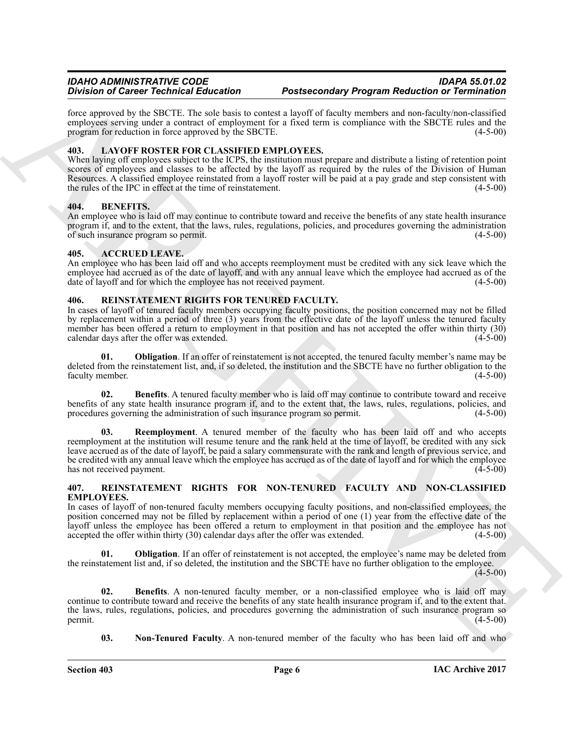force approved by the SBCTE. The sole basis to contest a layoff of faculty members and non-faculty/non-classified employees serving under a contract of employment for a fixed term is compliance with the SBCTE rules and the program for reduction in force approved by the SBCTE. (4-5-00) program for reduction in force approved by the SBCTE.

#### <span id="page-5-7"></span><span id="page-5-0"></span>**403. LAYOFF ROSTER FOR CLASSIFIED EMPLOYEES.**

When laying off employees subject to the ICPS, the institution must prepare and distribute a listing of retention point scores of employees and classes to be affected by the layoff as required by the rules of the Division of Human Resources. A classified employee reinstated from a layoff roster will be paid at a pay grade and step consistent with the rules of the IPC in effect at the time of reinstatement. (4-5-00)

#### <span id="page-5-6"></span><span id="page-5-1"></span>**404. BENEFITS.**

An employee who is laid off may continue to contribute toward and receive the benefits of any state health insurance program if, and to the extent, that the laws, rules, regulations, policies, and procedures governing the administration of such insurance program so permit. (4-5-00) of such insurance program so permit.

#### <span id="page-5-5"></span><span id="page-5-2"></span>**405. ACCRUED LEAVE.**

An employee who has been laid off and who accepts reemployment must be credited with any sick leave which the employee had accrued as of the date of layoff, and with any annual leave which the employee had accrued as of the date of layoff and for which the employee has not received payment. (4-5-00)

#### <span id="page-5-12"></span><span id="page-5-3"></span>**406. REINSTATEMENT RIGHTS FOR TENURED FACULTY.**

In cases of layoff of tenured faculty members occupying faculty positions, the position concerned may not be filled by replacement within a period of three (3) years from the effective date of the layoff unless the tenured faculty member has been offered a return to employment in that position and has not accepted the offer within thirty (30) calendar days after the offer was extended. (4-5-00)

<span id="page-5-14"></span>**01. Obligation**. If an offer of reinstatement is not accepted, the tenured faculty member's name may be deleted from the reinstatement list, and, if so deleted, the institution and the SBCTE have no further obligation to the faculty member. (4-5-00) faculty member.

<span id="page-5-15"></span><span id="page-5-13"></span>**02. Benefits**. A tenured faculty member who is laid off may continue to contribute toward and receive benefits of any state health insurance program if, and to the extent that, the laws, rules, regulations, policies, and procedures governing the administration of such insurance program so permit. (4-5-00)

Division of Carice Yechnical Education and Resistance Postparta Resistance in the specific of the specific orientation of the specific orientation of the specific orientation of the specific orientation of the specific or **03. Reemployment**. A tenured member of the faculty who has been laid off and who accepts reemployment at the institution will resume tenure and the rank held at the time of layoff, be credited with any sick leave accrued as of the date of layoff, be paid a salary commensurate with the rank and length of previous service, and be credited with any annual leave which the employee has accrued as of the date of layoff and for which the employee has not received payment. (4-5-00) (4-5-00)

#### <span id="page-5-8"></span><span id="page-5-4"></span>**407. REINSTATEMENT RIGHTS FOR NON-TENURED FACULTY AND NON-CLASSIFIED EMPLOYEES.**

In cases of layoff of non-tenured faculty members occupying faculty positions, and non-classified employees, the position concerned may not be filled by replacement within a period of one (1) year from the effective date of the layoff unless the employee has been offered a return to employment in that position and the employee has not accepted the offer within thirty (30) calendar days after the offer was extended. (4-5-00) accepted the offer within thirty  $(30)$  calendar days after the offer was extended.

<span id="page-5-11"></span>**Obligation**. If an offer of reinstatement is not accepted, the employee's name may be deleted from the reinstatement list and, if so deleted, the institution and the SBCTE have no further obligation to the employee.

 $(4-5-00)$ 

**02. Benefits**. A non-tenured faculty member, or a non-classified employee who is laid off may continue to contribute toward and receive the benefits of any state health insurance program if, and to the extent that. the laws, rules, regulations, policies, and procedures governing the administration of such insurance program so permit. (4-5-00)  $permit.$  (4-5-00)

<span id="page-5-10"></span><span id="page-5-9"></span>**03.** Non-Tenured Faculty. A non-tenured member of the faculty who has been laid off and who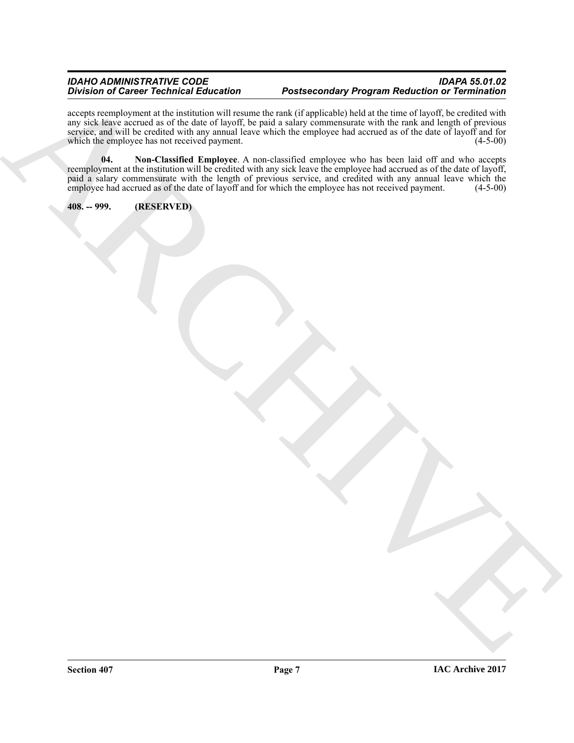#### *IDAHO ADMINISTRATIVE CODE IDAPA 55.01.02* **Postsecondary Program Reduction or Termination**

<span id="page-6-1"></span>accepts reemployment at the institution will resume the rank (if applicable) held at the time of layoff, be credited with any sick leave accrued as of the date of layoff, be paid a salary commensurate with the rank and length of previous service, and will be credited with any annual leave which the employee had accrued as of the date of layoff and for which the employee has not received payment. (4-5-00) which the employee has not received payment.

British of Chinese Technical Education<br>
control and the state of the state of the state of the state of the state of the state of the state of the state<br>
control and the state of the state of the state of the state of the **04. Non-Classified Employee**. A non-classified employee who has been laid off and who accepts reemployment at the institution will be credited with any sick leave the employee had accrued as of the date of layoff, paid a salary commensurate with the length of previous service, and credited with any annual leave which the employee had accrued as of the date of layoff and for which the employee has not received payment. (4-5-00) employee had accrued as of the date of layoff and for which the employee has not received payment.

<span id="page-6-0"></span>**408. -- 999. (RESERVED)**